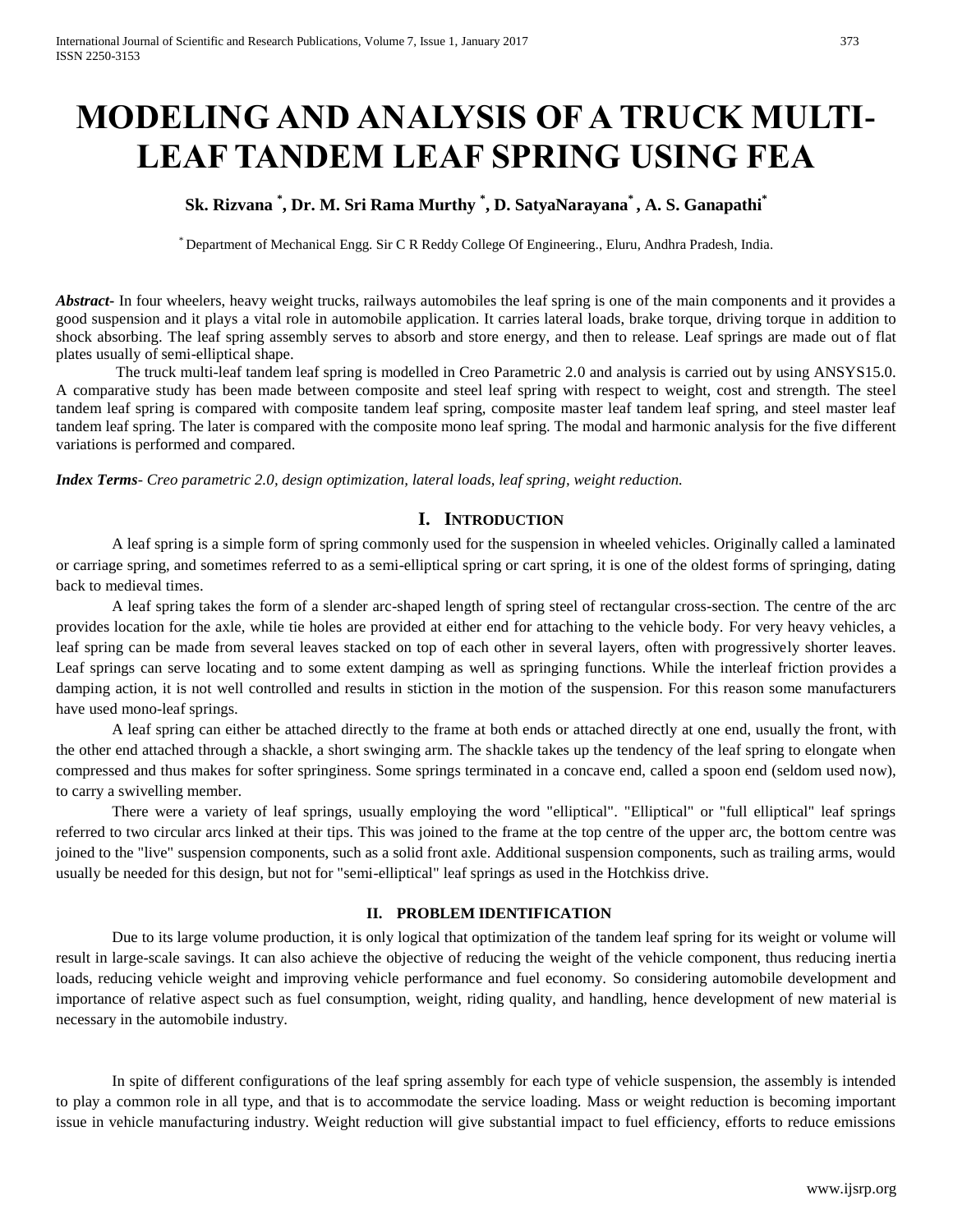# **MODELING AND ANALYSIS OF A TRUCK MULTI-LEAF TANDEM LEAF SPRING USING FEA**

# **Sk. Rizvana \* , Dr. M. Sri Rama Murthy \* , D. SatyaNarayana\* , A. S. Ganapathi\***

\* Department of Mechanical Engg. Sir C R Reddy College Of Engineering., Eluru, Andhra Pradesh, India.

*Abstract* In four wheelers, heavy weight trucks, railways automobiles the leaf spring is one of the main components and it provides a good suspension and it plays a vital role in automobile application. It carries lateral loads, brake torque, driving torque in addition to shock absorbing. The leaf spring assembly serves to absorb and store energy, and then to release. Leaf springs are made out of flat plates usually of semi-elliptical shape.

The truck multi-leaf tandem leaf spring is modelled in Creo Parametric 2.0 and analysis is carried out by using ANSYS15.0. A comparative study has been made between composite and steel leaf spring with respect to weight, cost and strength. The steel tandem leaf spring is compared with composite tandem leaf spring, composite master leaf tandem leaf spring, and steel master leaf tandem leaf spring. The later is compared with the composite mono leaf spring. The modal and harmonic analysis for the five different variations is performed and compared.

*Index Terms- Creo parametric 2.0, design optimization, lateral loads, leaf spring, weight reduction.*

# **I. INTRODUCTION**

A leaf spring is a simple form of spring commonly used for the suspension in wheeled vehicles. Originally called a laminated or carriage spring, and sometimes referred to as a semi-elliptical spring or cart spring, it is one of the oldest forms of springing, dating back to medieval times.

A leaf spring takes the form of a slender arc-shaped length of spring steel of rectangular cross-section. The centre of the arc provides location for the axle, while tie holes are provided at either end for attaching to the vehicle body. For very heavy vehicles, a leaf spring can be made from several leaves stacked on top of each other in several layers, often with progressively shorter leaves. Leaf springs can serve locating and to some extent damping as well as springing functions. While the interleaf friction provides a damping action, it is not well controlled and results in stiction in the motion of the suspension. For this reason some manufacturers have used mono-leaf springs.

A leaf spring can either be attached directly to the frame at both ends or attached directly at one end, usually the front, with the other end attached through a shackle, a short swinging arm. The shackle takes up the tendency of the leaf spring to elongate when compressed and thus makes for softer springiness. Some springs terminated in a concave end, called a spoon end (seldom used now), to carry a swivelling member.

There were a variety of leaf springs, usually employing the word "elliptical". "Elliptical" or "full elliptical" leaf springs referred to two circular arcs linked at their tips. This was joined to the frame at the top centre of the upper arc, the bottom centre was joined to the "live" suspension components, such as a solid front axle. Additional suspension components, such as trailing arms, would usually be needed for this design, but not for "semi-elliptical" leaf springs as used in the Hotchkiss drive.

## **II. PROBLEM IDENTIFICATION**

Due to its large volume production, it is only logical that optimization of the tandem leaf spring for its weight or volume will result in large-scale savings. It can also achieve the objective of reducing the weight of the vehicle component, thus reducing inertia loads, reducing vehicle weight and improving vehicle performance and fuel economy. So considering automobile development and importance of relative aspect such as fuel consumption, weight, riding quality, and handling, hence development of new material is necessary in the automobile industry.

In spite of different configurations of the leaf spring assembly for each type of vehicle suspension, the assembly is intended to play a common role in all type, and that is to accommodate the service loading. Mass or weight reduction is becoming important issue in vehicle manufacturing industry. Weight reduction will give substantial impact to fuel efficiency, efforts to reduce emissions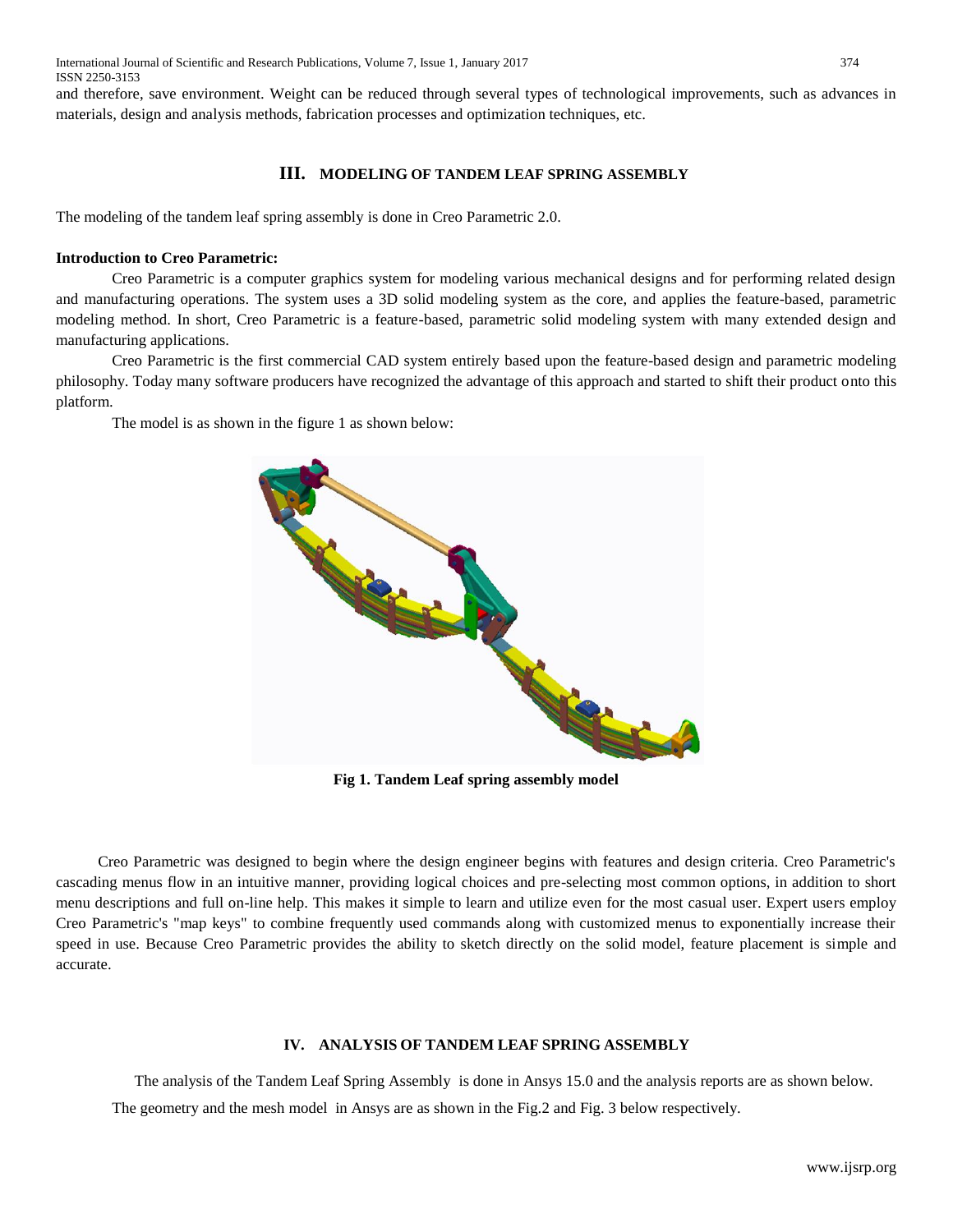International Journal of Scientific and Research Publications, Volume 7, Issue 1, January 2017 374 ISSN 2250-3153

and therefore, save environment. Weight can be reduced through several types of technological improvements, such as advances in materials, design and analysis methods, fabrication processes and optimization techniques, etc.

## **III. MODELING OF TANDEM LEAF SPRING ASSEMBLY**

The modeling of the tandem leaf spring assembly is done in Creo Parametric 2.0.

#### **Introduction to Creo Parametric:**

Creo Parametric is a computer graphics system for modeling various mechanical designs and for performing related design and manufacturing operations. The system uses a 3D solid modeling system as the core, and applies the feature-based, parametric modeling method. In short, Creo Parametric is a feature-based, parametric solid modeling system with many extended design and manufacturing applications.

Creo Parametric is the first commercial CAD system entirely based upon the feature-based design and parametric modeling philosophy. Today many software producers have recognized the advantage of this approach and started to shift their product onto this platform.

The model is as shown in the figure 1 as shown below:



Creo Parametric was designed to begin where the design engineer begins with features and design criteria. Creo Parametric's cascading menus flow in an intuitive manner, providing logical choices and pre-selecting most common options, in addition to short menu descriptions and full on-line help. This makes it simple to learn and utilize even for the most casual user. Expert users employ Creo Parametric's "map keys" to combine frequently used commands along with customized menus to exponentially increase their speed in use. Because Creo Parametric provides the ability to sketch directly on the solid model, feature placement is simple and accurate.

## **IV. ANALYSIS OF TANDEM LEAF SPRING ASSEMBLY**

The analysis of the Tandem Leaf Spring Assembly is done in Ansys 15.0 and the analysis reports are as shown below. The geometry and the mesh model in Ansys are as shown in the Fig.2 and Fig. 3 below respectively.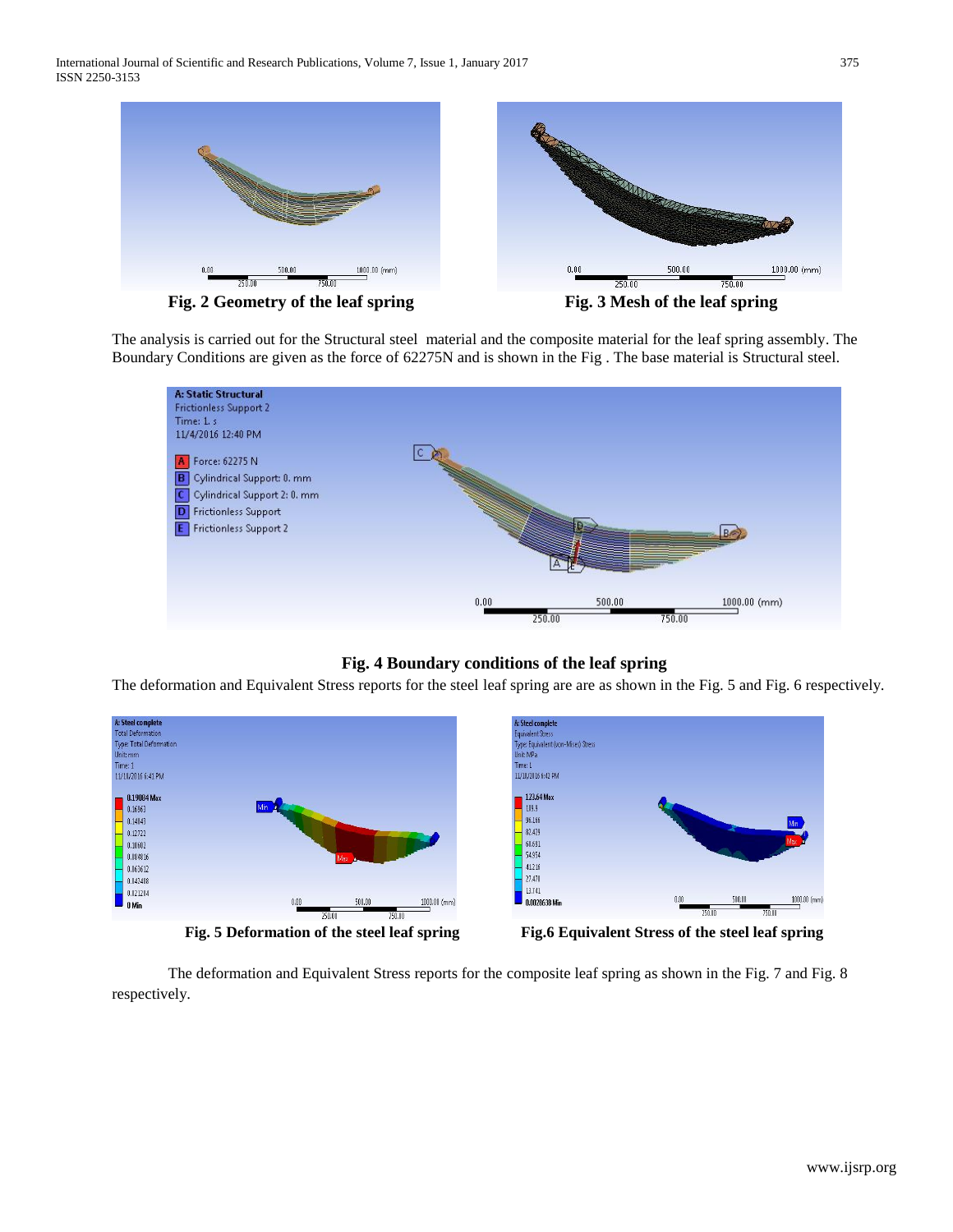

**Fig. 2 Geometry of the leaf spring Fig. 3 Mesh of the leaf spring**

The analysis is carried out for the Structural steel material and the composite material for the leaf spring assembly. The Boundary Conditions are given as the force of 62275N and is shown in the Fig . The base material is Structural steel.



# **Fig. 4 Boundary conditions of the leaf spring**

The deformation and Equivalent Stress reports for the steel leaf spring are are as shown in the Fig. 5 and Fig. 6 respectively.



The deformation and Equivalent Stress reports for the composite leaf spring as shown in the Fig. 7 and Fig. 8 respectively.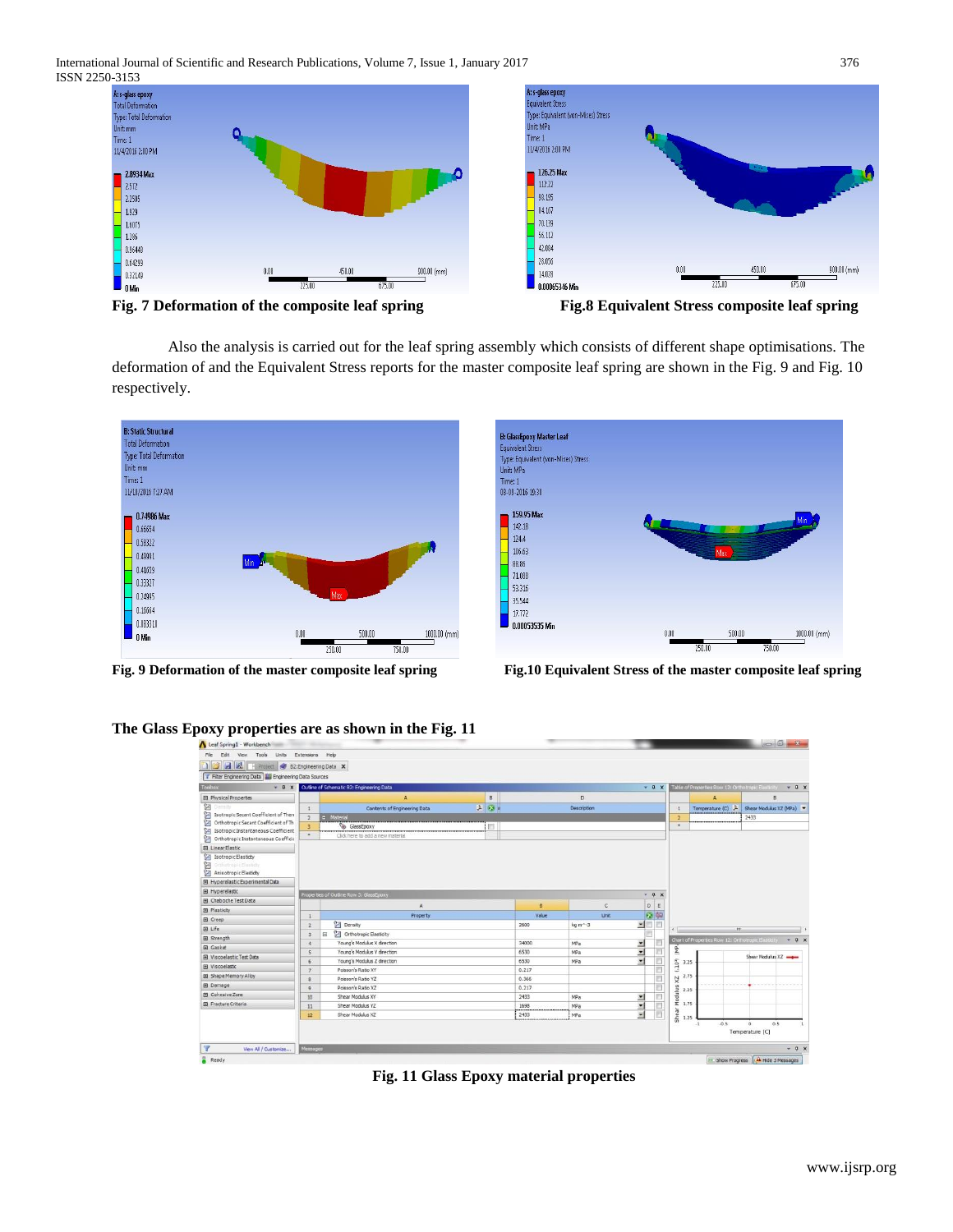International Journal of Scientific and Research Publications, Volume 7, Issue 1, January 2017 376 ISSN 2250-3153



**Fig. 7 Deformation of the composite leaf spring Fig.8 Equivalent Stress composite leaf spring**

Also the analysis is carried out for the leaf spring assembly which consists of different shape optimisations. The deformation of and the Equivalent Stress reports for the master composite leaf spring are shown in the Fig. 9 and Fig. 10 respectively.





**Fig. 9 Deformation of the master composite leaf spring Fig.10 Equivalent Stress of the master composite leaf spring**

| П<br>区 Project 多 B2:Engineering Data ×<br>Filter Engineering Data   Engineering Data Sources |                         |                                                             |               |             |                           |                    |                        |                                                           |
|----------------------------------------------------------------------------------------------|-------------------------|-------------------------------------------------------------|---------------|-------------|---------------------------|--------------------|------------------------|-----------------------------------------------------------|
|                                                                                              |                         |                                                             |               |             |                           |                    |                        |                                                           |
| Toolbox<br>$-9x$                                                                             |                         | Outline of Schematic 82: Engineering Data                   |               |             | $-9x$                     |                    |                        | Table of Properties Row 12: Orthotropic Elasticity < 0. X |
| <b>El Physical Properties</b>                                                                |                         | B<br>$\mathbf{A}$                                           |               | D           |                           |                    | A                      | n                                                         |
| 図<br>Amsib                                                                                   |                         | $\overline{r_{\rm A}}$<br>医<br>Contents of Engineering Data |               | Description |                           |                    | Temperature (C)        | Shear Modulus XZ (MPa)                                    |
| 図<br>Isotropic Secant Coefficient of Then                                                    |                         | <b>D</b> Material                                           |               |             |                           |                    |                        | 2433                                                      |
| <b>DE Orthotropic Secant Coefficient of Th</b><br>[2] Isotropic Instantaneous Coefficient    | ۵                       | n<br>GlassEpoxy                                             |               |             |                           | $\cdot$            |                        |                                                           |
| Orthotropic Instantaneous Coefficio                                                          | ٠                       | Click here to add a new material                            |               |             |                           |                    |                        |                                                           |
| <b>El Linear Elastic</b>                                                                     |                         |                                                             |               |             |                           |                    |                        |                                                           |
| Isotropic Elastidty<br>窗<br>Orthotropic Elasticky<br>Anisotropic Elastidty                   |                         |                                                             |               |             |                           |                    |                        |                                                           |
| El Hyperelastic Experimental Data                                                            |                         |                                                             |               |             |                           |                    |                        |                                                           |
| E Hyperelastic                                                                               |                         | Properties of Outline Row 3: GlassEpoxy                     |               |             | $-9 x$                    |                    |                        |                                                           |
| <b>Fil</b> Chaboche Test Data                                                                |                         | A                                                           | B             | C           | $\mathsf D$<br>$\epsilon$ |                    |                        |                                                           |
| <b>El Plasticity</b>                                                                         |                         |                                                             |               |             |                           |                    |                        |                                                           |
| <b>ED</b> Creep                                                                              |                         | Property                                                    | Value         | <b>Unit</b> | 日中<br>π                   |                    |                        |                                                           |
| El Life                                                                                      | $\overline{2}$          | <b>Density</b>                                              | 2600          | kg m^-3     | 国                         | $\epsilon$         | m                      |                                                           |
| <b>田</b> Strength                                                                            | $\pi$                   | <b>Call Orthotropic Elasticity</b><br>国                     |               |             |                           |                    |                        | Chart of Properties Row 12: Orthotropic Basticity + 0 X   |
| (6) Gasket                                                                                   | 4                       | Young's Modulus X direction                                 | 34000<br>6530 | MPa         | $\overline{\phantom{a}}$  | Ê                  |                        |                                                           |
| <b>El Viscoelastic Test Data</b>                                                             | $\overline{\mathbf{s}}$ | Young's Modulus Y direction<br>Young's Modulus Z direction  | 6530          | MPa<br>MPa  | 国<br>喇                    |                    |                        | Shear Modulus XZ                                          |
| El Viscoelastic                                                                              |                         | Poisson's Ratio XY                                          | 0.217         |             |                           | $\frac{2}{3}$ 3.25 |                        |                                                           |
| El Shape Memory Alloy                                                                        |                         | Poisson's Ratio YZ                                          | 0.366         |             |                           | ZX.                | 2.75                   |                                                           |
| <b>El</b> Damage                                                                             | q                       | Poisson's Ratio XZ                                          | 0.217         |             |                           |                    |                        |                                                           |
| <b>El</b> Cohesive Zone                                                                      | 10                      | Shear Modulus XY                                            | 2433          | MPa         | Σ                         | dulus<br>2.25      |                        |                                                           |
| E Fracture Criteria                                                                          | 11                      | Shear Modulus YZ                                            | 1698          | MPa         | z                         | 웊                  | 1.75                   |                                                           |
|                                                                                              | 12 <sup>°</sup>         | Shear Modulus XZ                                            | 2433          | MPa         | ٠                         |                    |                        |                                                           |
|                                                                                              |                         |                                                             |               |             |                           | She                | 1.25<br>$-0.5$<br>$-1$ | 0.5<br>Temperature [C]                                    |

**The Glass Epoxy properties are as shown in the Fig. 11**

**Fig. 11 Glass Epoxy material properties**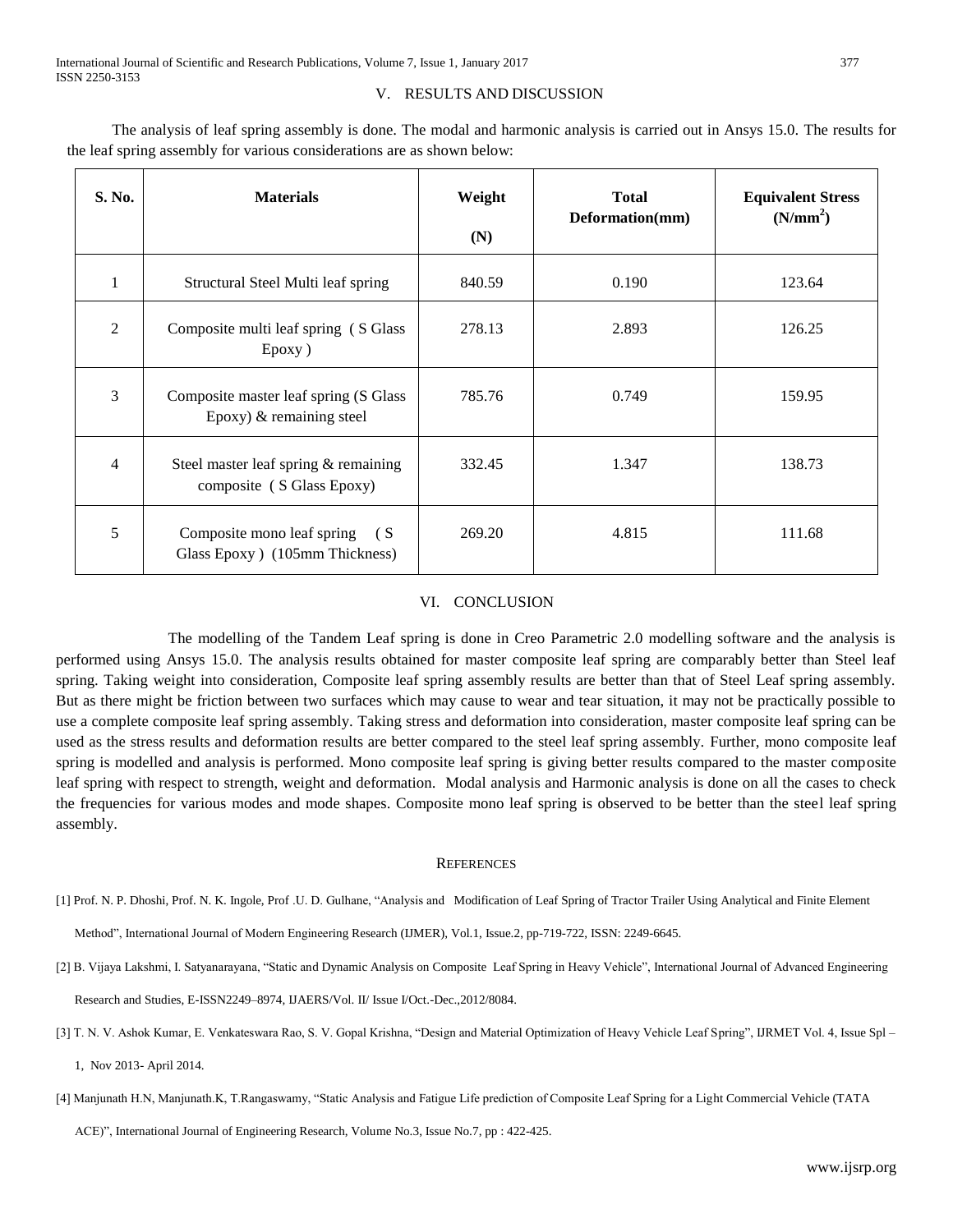## V. RESULTS AND DISCUSSION

**S. No. Materials Weight (N) Total Deformation(mm) Equivalent Stress (N/mm<sup>2</sup> )** 1 Structural Steel Multi leaf spring 840.59 0.190 123.64 2 Composite multi leaf spring ( S Glass Epoxy ) 278.13 2.893 126.25 3 Composite master leaf spring (S Glass Epoxy) & remaining steel 785.76 0.749 159.95 4 Steel master leaf spring & remaining composite ( S Glass Epoxy) 332.45 1.347 138.73 5 Composite mono leaf spring ( S Glass Epoxy ) (105mm Thickness) 269.20 4.815 111.68

The analysis of leaf spring assembly is done. The modal and harmonic analysis is carried out in Ansys 15.0. The results for the leaf spring assembly for various considerations are as shown below:

# VI. CONCLUSION

The modelling of the Tandem Leaf spring is done in Creo Parametric 2.0 modelling software and the analysis is performed using Ansys 15.0. The analysis results obtained for master composite leaf spring are comparably better than Steel leaf spring. Taking weight into consideration, Composite leaf spring assembly results are better than that of Steel Leaf spring assembly. But as there might be friction between two surfaces which may cause to wear and tear situation, it may not be practically possible to use a complete composite leaf spring assembly. Taking stress and deformation into consideration, master composite leaf spring can be used as the stress results and deformation results are better compared to the steel leaf spring assembly. Further, mono composite leaf spring is modelled and analysis is performed. Mono composite leaf spring is giving better results compared to the master composite leaf spring with respect to strength, weight and deformation. Modal analysis and Harmonic analysis is done on all the cases to check the frequencies for various modes and mode shapes. Composite mono leaf spring is observed to be better than the steel leaf spring assembly.

#### **REFERENCES**

[1] Prof. N. P. Dhoshi, Prof. N. K. Ingole, Prof .U. D. Gulhane, "Analysis and Modification of Leaf Spring of Tractor Trailer Using Analytical and Finite Element

Method", International Journal of Modern Engineering Research (IJMER), Vol.1, Issue.2, pp-719-722, ISSN: 2249-6645.

[2] B. Vijaya Lakshmi, I. Satyanarayana, "Static and Dynamic Analysis on Composite Leaf Spring in Heavy Vehicle", International Journal of Advanced Engineering

Research and Studies, E-ISSN2249–8974, IJAERS/Vol. II/ Issue I/Oct.-Dec.,2012/8084.

[3] T. N. V. Ashok Kumar, E. Venkateswara Rao, S. V. Gopal Krishna, "Design and Material Optimization of Heavy Vehicle Leaf Spring", IJRMET Vol. 4, Issue Spl –

1, Nov 2013- April 2014.

[4] Manjunath H.N, Manjunath.K, T.Rangaswamy, "Static Analysis and Fatigue Life prediction of Composite Leaf Spring for a Light Commercial Vehicle (TATA

ACE)", International Journal of Engineering Research, Volume No.3, Issue No.7, pp : 422-425.